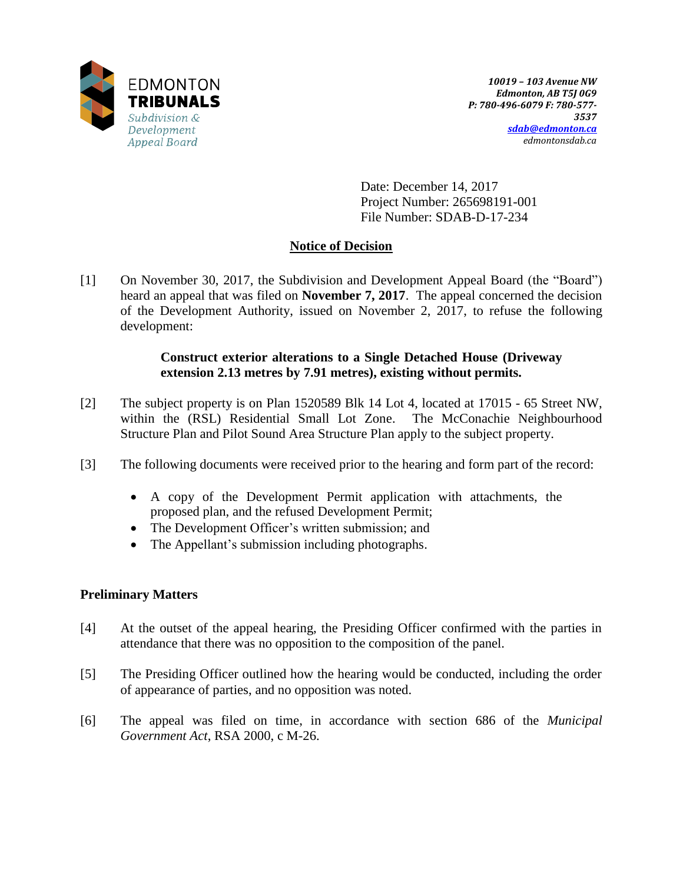

Date: December 14, 2017 Project Number: 265698191-001 File Number: SDAB-D-17-234

# **Notice of Decision**

[1] On November 30, 2017, the Subdivision and Development Appeal Board (the "Board") heard an appeal that was filed on **November 7, 2017**. The appeal concerned the decision of the Development Authority, issued on November 2, 2017, to refuse the following development:

## **Construct exterior alterations to a Single Detached House (Driveway extension 2.13 metres by 7.91 metres), existing without permits.**

- [2] The subject property is on Plan 1520589 Blk 14 Lot 4, located at 17015 65 Street NW, within the (RSL) Residential Small Lot Zone. The McConachie Neighbourhood Structure Plan and Pilot Sound Area Structure Plan apply to the subject property.
- [3] The following documents were received prior to the hearing and form part of the record:
	- A copy of the Development Permit application with attachments, the proposed plan, and the refused Development Permit;
	- The Development Officer's written submission; and
	- The Appellant's submission including photographs.

# **Preliminary Matters**

- [4] At the outset of the appeal hearing, the Presiding Officer confirmed with the parties in attendance that there was no opposition to the composition of the panel.
- [5] The Presiding Officer outlined how the hearing would be conducted, including the order of appearance of parties, and no opposition was noted.
- [6] The appeal was filed on time, in accordance with section 686 of the *Municipal Government Act*, RSA 2000, c M-26.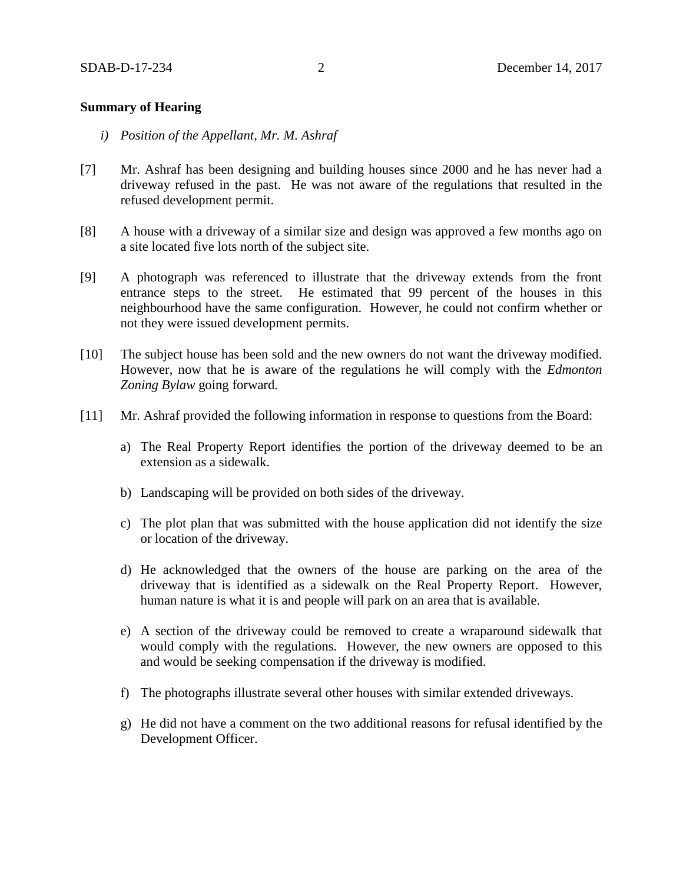### **Summary of Hearing**

- *i) Position of the Appellant, Mr. M. Ashraf*
- [7] Mr. Ashraf has been designing and building houses since 2000 and he has never had a driveway refused in the past. He was not aware of the regulations that resulted in the refused development permit.
- [8] A house with a driveway of a similar size and design was approved a few months ago on a site located five lots north of the subject site.
- [9] A photograph was referenced to illustrate that the driveway extends from the front entrance steps to the street. He estimated that 99 percent of the houses in this neighbourhood have the same configuration. However, he could not confirm whether or not they were issued development permits.
- [10] The subject house has been sold and the new owners do not want the driveway modified. However, now that he is aware of the regulations he will comply with the *Edmonton Zoning Bylaw* going forward.
- [11] Mr. Ashraf provided the following information in response to questions from the Board:
	- a) The Real Property Report identifies the portion of the driveway deemed to be an extension as a sidewalk.
	- b) Landscaping will be provided on both sides of the driveway.
	- c) The plot plan that was submitted with the house application did not identify the size or location of the driveway.
	- d) He acknowledged that the owners of the house are parking on the area of the driveway that is identified as a sidewalk on the Real Property Report. However, human nature is what it is and people will park on an area that is available.
	- e) A section of the driveway could be removed to create a wraparound sidewalk that would comply with the regulations. However, the new owners are opposed to this and would be seeking compensation if the driveway is modified.
	- f) The photographs illustrate several other houses with similar extended driveways.
	- g) He did not have a comment on the two additional reasons for refusal identified by the Development Officer.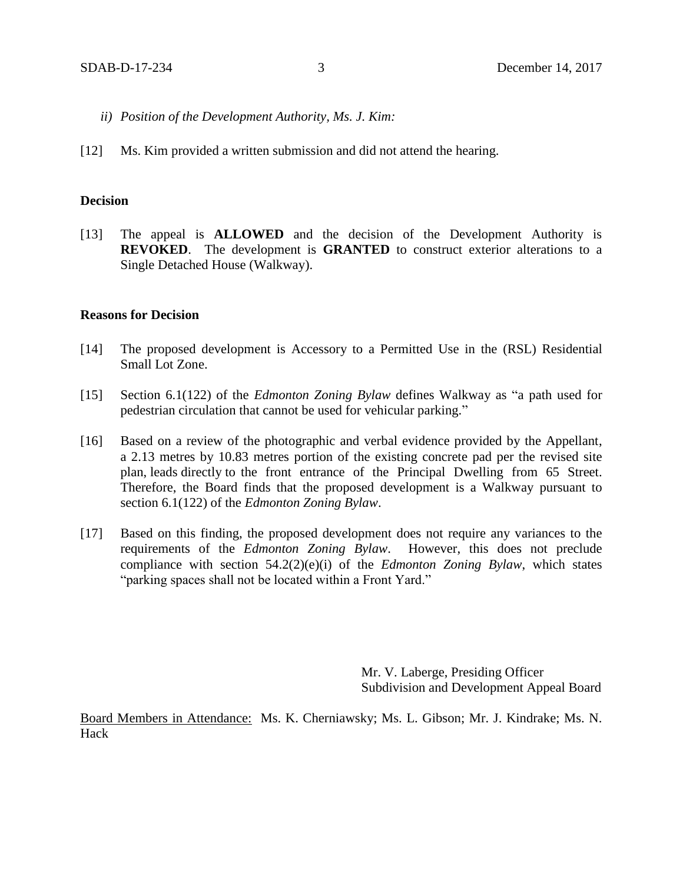- *ii) Position of the Development Authority, Ms. J. Kim:*
- [12] Ms. Kim provided a written submission and did not attend the hearing.

#### **Decision**

[13] The appeal is **ALLOWED** and the decision of the Development Authority is **REVOKED**. The development is **GRANTED** to construct exterior alterations to a Single Detached House (Walkway).

#### **Reasons for Decision**

- [14] The proposed development is Accessory to a Permitted Use in the (RSL) Residential Small Lot Zone.
- [15] Section 6.1(122) of the *Edmonton Zoning Bylaw* defines Walkway as "a path used for pedestrian circulation that cannot be used for vehicular parking."
- [16] Based on a review of the photographic and verbal evidence provided by the Appellant, a 2.13 metres by 10.83 metres portion of the existing concrete pad per the revised site plan, leads directly to the front entrance of the Principal Dwelling from 65 Street. Therefore, the Board finds that the proposed development is a Walkway pursuant to section 6.1(122) of the *Edmonton Zoning Bylaw*.
- [17] Based on this finding, the proposed development does not require any variances to the requirements of the *Edmonton Zoning Bylaw*. However, this does not preclude compliance with section 54.2(2)(e)(i) of the *Edmonton Zoning Bylaw*, which states "parking spaces shall not be located within a Front Yard."

Mr. V. Laberge, Presiding Officer Subdivision and Development Appeal Board

Board Members in Attendance: Ms. K. Cherniawsky; Ms. L. Gibson; Mr. J. Kindrake; Ms. N. Hack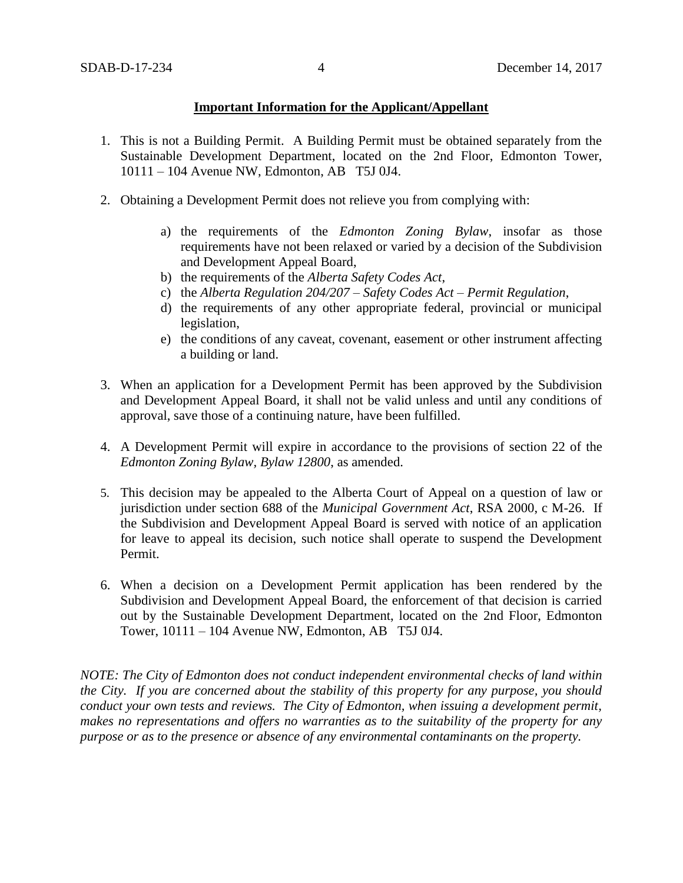## **Important Information for the Applicant/Appellant**

- 1. This is not a Building Permit. A Building Permit must be obtained separately from the Sustainable Development Department, located on the 2nd Floor, Edmonton Tower, 10111 – 104 Avenue NW, Edmonton, AB T5J 0J4.
- 2. Obtaining a Development Permit does not relieve you from complying with:
	- a) the requirements of the *Edmonton Zoning Bylaw*, insofar as those requirements have not been relaxed or varied by a decision of the Subdivision and Development Appeal Board,
	- b) the requirements of the *Alberta Safety Codes Act*,
	- c) the *Alberta Regulation 204/207 – Safety Codes Act – Permit Regulation*,
	- d) the requirements of any other appropriate federal, provincial or municipal legislation,
	- e) the conditions of any caveat, covenant, easement or other instrument affecting a building or land.
- 3. When an application for a Development Permit has been approved by the Subdivision and Development Appeal Board, it shall not be valid unless and until any conditions of approval, save those of a continuing nature, have been fulfilled.
- 4. A Development Permit will expire in accordance to the provisions of section 22 of the *Edmonton Zoning Bylaw, Bylaw 12800*, as amended.
- 5. This decision may be appealed to the Alberta Court of Appeal on a question of law or jurisdiction under section 688 of the *Municipal Government Act*, RSA 2000, c M-26. If the Subdivision and Development Appeal Board is served with notice of an application for leave to appeal its decision, such notice shall operate to suspend the Development Permit.
- 6. When a decision on a Development Permit application has been rendered by the Subdivision and Development Appeal Board, the enforcement of that decision is carried out by the Sustainable Development Department, located on the 2nd Floor, Edmonton Tower, 10111 – 104 Avenue NW, Edmonton, AB T5J 0J4.

*NOTE: The City of Edmonton does not conduct independent environmental checks of land within the City. If you are concerned about the stability of this property for any purpose, you should conduct your own tests and reviews. The City of Edmonton, when issuing a development permit, makes no representations and offers no warranties as to the suitability of the property for any purpose or as to the presence or absence of any environmental contaminants on the property.*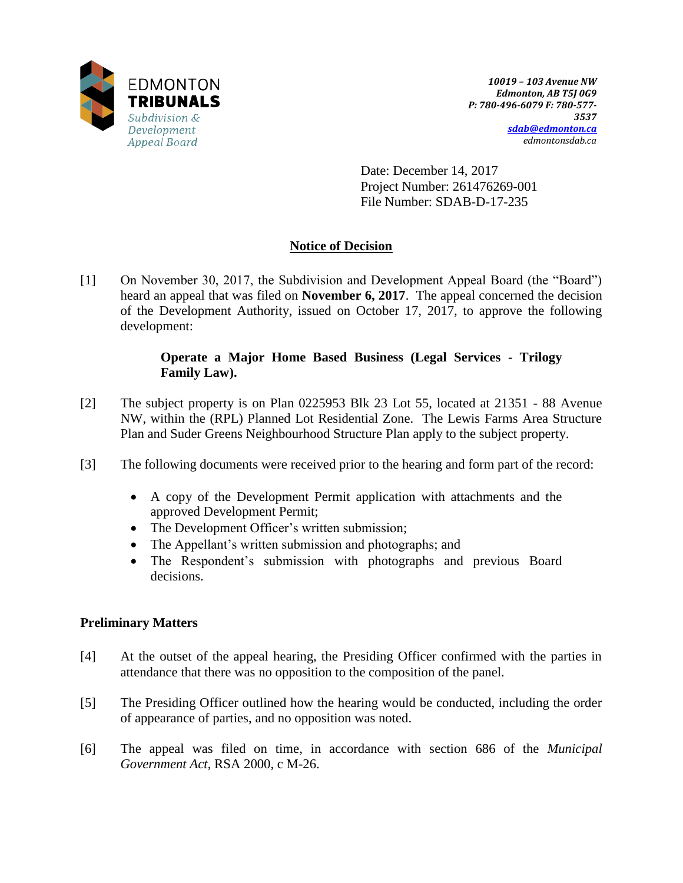

Date: December 14, 2017 Project Number: 261476269-001 File Number: SDAB-D-17-235

# **Notice of Decision**

[1] On November 30, 2017, the Subdivision and Development Appeal Board (the "Board") heard an appeal that was filed on **November 6, 2017**. The appeal concerned the decision of the Development Authority, issued on October 17, 2017, to approve the following development:

## **Operate a Major Home Based Business (Legal Services - Trilogy Family Law).**

- [2] The subject property is on Plan 0225953 Blk 23 Lot 55, located at 21351 88 Avenue NW, within the (RPL) Planned Lot Residential Zone. The Lewis Farms Area Structure Plan and Suder Greens Neighbourhood Structure Plan apply to the subject property.
- [3] The following documents were received prior to the hearing and form part of the record:
	- A copy of the Development Permit application with attachments and the approved Development Permit;
	- The Development Officer's written submission;
	- The Appellant's written submission and photographs; and
	- The Respondent's submission with photographs and previous Board decisions.

# **Preliminary Matters**

- [4] At the outset of the appeal hearing, the Presiding Officer confirmed with the parties in attendance that there was no opposition to the composition of the panel.
- [5] The Presiding Officer outlined how the hearing would be conducted, including the order of appearance of parties, and no opposition was noted.
- [6] The appeal was filed on time, in accordance with section 686 of the *Municipal Government Act*, RSA 2000, c M-26.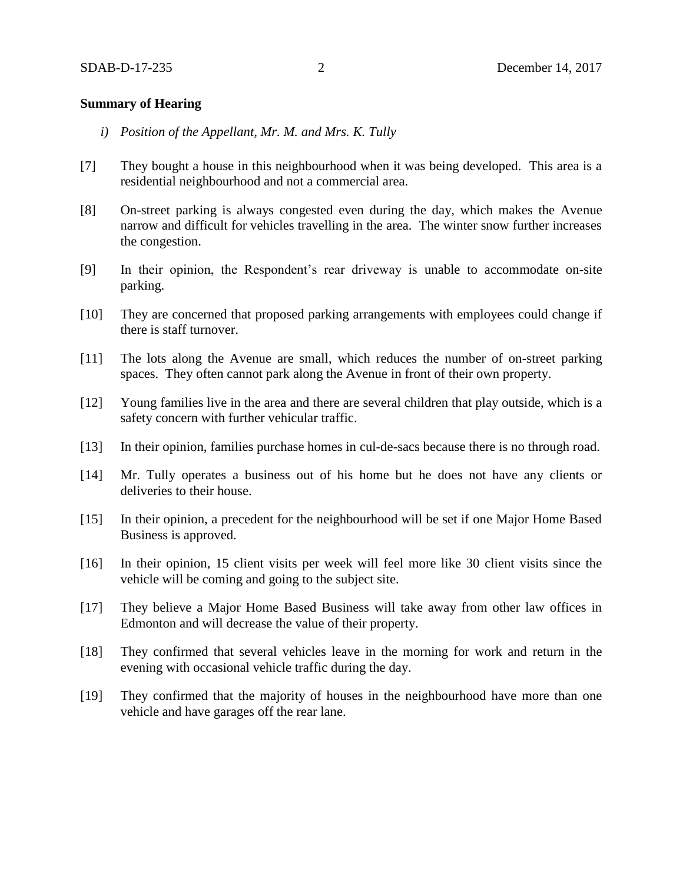### **Summary of Hearing**

- *i) Position of the Appellant, Mr. M. and Mrs. K. Tully*
- [7] They bought a house in this neighbourhood when it was being developed. This area is a residential neighbourhood and not a commercial area.
- [8] On-street parking is always congested even during the day, which makes the Avenue narrow and difficult for vehicles travelling in the area. The winter snow further increases the congestion.
- [9] In their opinion, the Respondent's rear driveway is unable to accommodate on-site parking.
- [10] They are concerned that proposed parking arrangements with employees could change if there is staff turnover.
- [11] The lots along the Avenue are small, which reduces the number of on-street parking spaces. They often cannot park along the Avenue in front of their own property.
- [12] Young families live in the area and there are several children that play outside, which is a safety concern with further vehicular traffic.
- [13] In their opinion, families purchase homes in cul-de-sacs because there is no through road.
- [14] Mr. Tully operates a business out of his home but he does not have any clients or deliveries to their house.
- [15] In their opinion, a precedent for the neighbourhood will be set if one Major Home Based Business is approved.
- [16] In their opinion, 15 client visits per week will feel more like 30 client visits since the vehicle will be coming and going to the subject site.
- [17] They believe a Major Home Based Business will take away from other law offices in Edmonton and will decrease the value of their property.
- [18] They confirmed that several vehicles leave in the morning for work and return in the evening with occasional vehicle traffic during the day.
- [19] They confirmed that the majority of houses in the neighbourhood have more than one vehicle and have garages off the rear lane.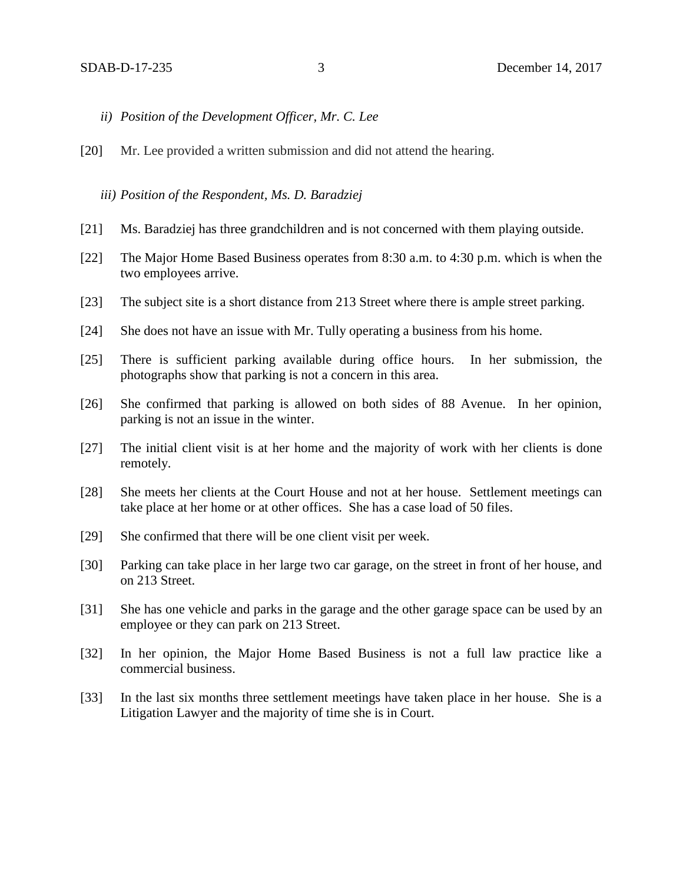- *ii) Position of the Development Officer, Mr. C. Lee*
- [20] Mr. Lee provided a written submission and did not attend the hearing.

*iii) Position of the Respondent, Ms. D. Baradziej* 

- [21] Ms. Baradziej has three grandchildren and is not concerned with them playing outside.
- [22] The Major Home Based Business operates from 8:30 a.m. to 4:30 p.m. which is when the two employees arrive.
- [23] The subject site is a short distance from 213 Street where there is ample street parking.
- [24] She does not have an issue with Mr. Tully operating a business from his home.
- [25] There is sufficient parking available during office hours. In her submission, the photographs show that parking is not a concern in this area.
- [26] She confirmed that parking is allowed on both sides of 88 Avenue. In her opinion, parking is not an issue in the winter.
- [27] The initial client visit is at her home and the majority of work with her clients is done remotely.
- [28] She meets her clients at the Court House and not at her house. Settlement meetings can take place at her home or at other offices. She has a case load of 50 files.
- [29] She confirmed that there will be one client visit per week.
- [30] Parking can take place in her large two car garage, on the street in front of her house, and on 213 Street.
- [31] She has one vehicle and parks in the garage and the other garage space can be used by an employee or they can park on 213 Street.
- [32] In her opinion, the Major Home Based Business is not a full law practice like a commercial business.
- [33] In the last six months three settlement meetings have taken place in her house. She is a Litigation Lawyer and the majority of time she is in Court.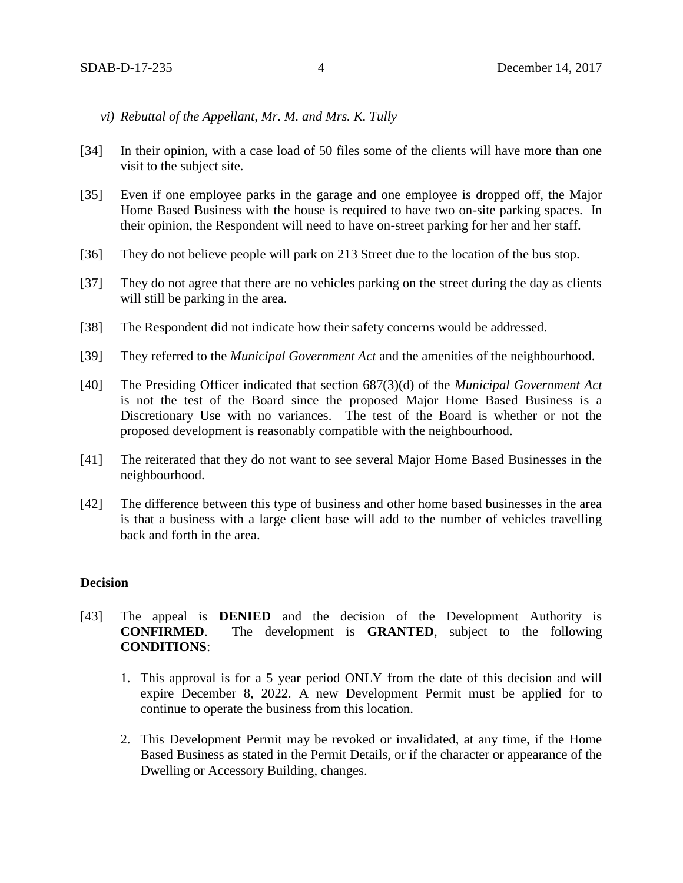- *vi) Rebuttal of the Appellant, Mr. M. and Mrs. K. Tully*
- [34] In their opinion, with a case load of 50 files some of the clients will have more than one visit to the subject site.
- [35] Even if one employee parks in the garage and one employee is dropped off, the Major Home Based Business with the house is required to have two on-site parking spaces. In their opinion, the Respondent will need to have on-street parking for her and her staff.
- [36] They do not believe people will park on 213 Street due to the location of the bus stop.
- [37] They do not agree that there are no vehicles parking on the street during the day as clients will still be parking in the area.
- [38] The Respondent did not indicate how their safety concerns would be addressed.
- [39] They referred to the *Municipal Government Act* and the amenities of the neighbourhood.
- [40] The Presiding Officer indicated that section 687(3)(d) of the *Municipal Government Act* is not the test of the Board since the proposed Major Home Based Business is a Discretionary Use with no variances. The test of the Board is whether or not the proposed development is reasonably compatible with the neighbourhood.
- [41] The reiterated that they do not want to see several Major Home Based Businesses in the neighbourhood.
- [42] The difference between this type of business and other home based businesses in the area is that a business with a large client base will add to the number of vehicles travelling back and forth in the area.

### **Decision**

- [43] The appeal is **DENIED** and the decision of the Development Authority is **CONFIRMED**. The development is **GRANTED**, subject to the following **CONDITIONS**:
	- 1. This approval is for a 5 year period ONLY from the date of this decision and will expire December 8, 2022. A new Development Permit must be applied for to continue to operate the business from this location.
	- 2. This Development Permit may be revoked or invalidated, at any time, if the Home Based Business as stated in the Permit Details, or if the character or appearance of the Dwelling or Accessory Building, changes.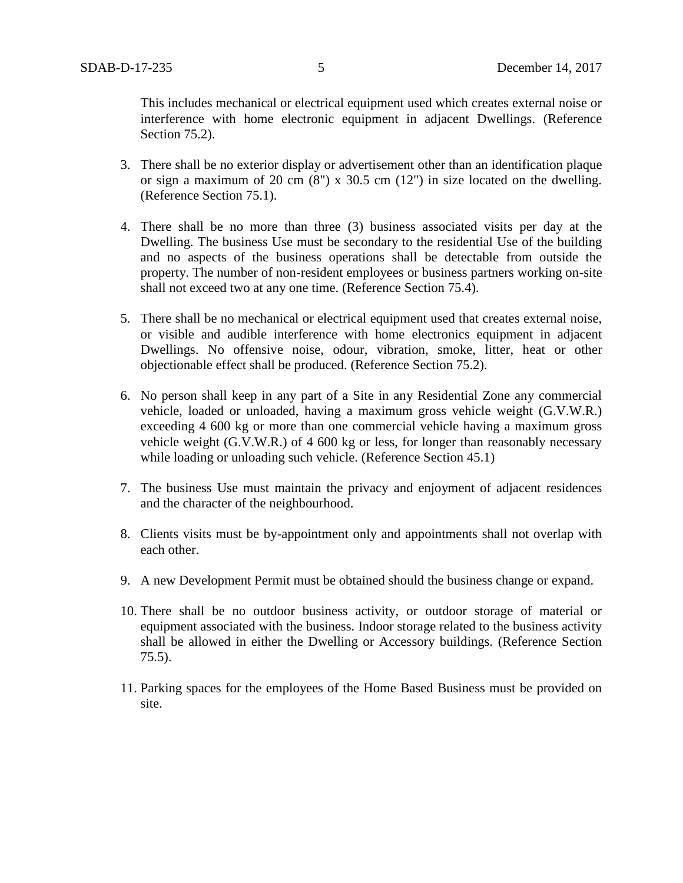This includes mechanical or electrical equipment used which creates external noise or interference with home electronic equipment in adjacent Dwellings. (Reference Section 75.2).

- 3. There shall be no exterior display or advertisement other than an identification plaque or sign a maximum of 20 cm (8") x 30.5 cm (12") in size located on the dwelling. (Reference Section 75.1).
- 4. There shall be no more than three (3) business associated visits per day at the Dwelling. The business Use must be secondary to the residential Use of the building and no aspects of the business operations shall be detectable from outside the property. The number of non-resident employees or business partners working on-site shall not exceed two at any one time. (Reference Section 75.4).
- 5. There shall be no mechanical or electrical equipment used that creates external noise, or visible and audible interference with home electronics equipment in adjacent Dwellings. No offensive noise, odour, vibration, smoke, litter, heat or other objectionable effect shall be produced. (Reference Section 75.2).
- 6. No person shall keep in any part of a Site in any Residential Zone any commercial vehicle, loaded or unloaded, having a maximum gross vehicle weight (G.V.W.R.) exceeding 4 600 kg or more than one commercial vehicle having a maximum gross vehicle weight (G.V.W.R.) of 4 600 kg or less, for longer than reasonably necessary while loading or unloading such vehicle. (Reference Section 45.1)
- 7. The business Use must maintain the privacy and enjoyment of adjacent residences and the character of the neighbourhood.
- 8. Clients visits must be by-appointment only and appointments shall not overlap with each other.
- 9. A new Development Permit must be obtained should the business change or expand.
- 10. There shall be no outdoor business activity, or outdoor storage of material or equipment associated with the business. Indoor storage related to the business activity shall be allowed in either the Dwelling or Accessory buildings. (Reference Section 75.5).
- 11. Parking spaces for the employees of the Home Based Business must be provided on site.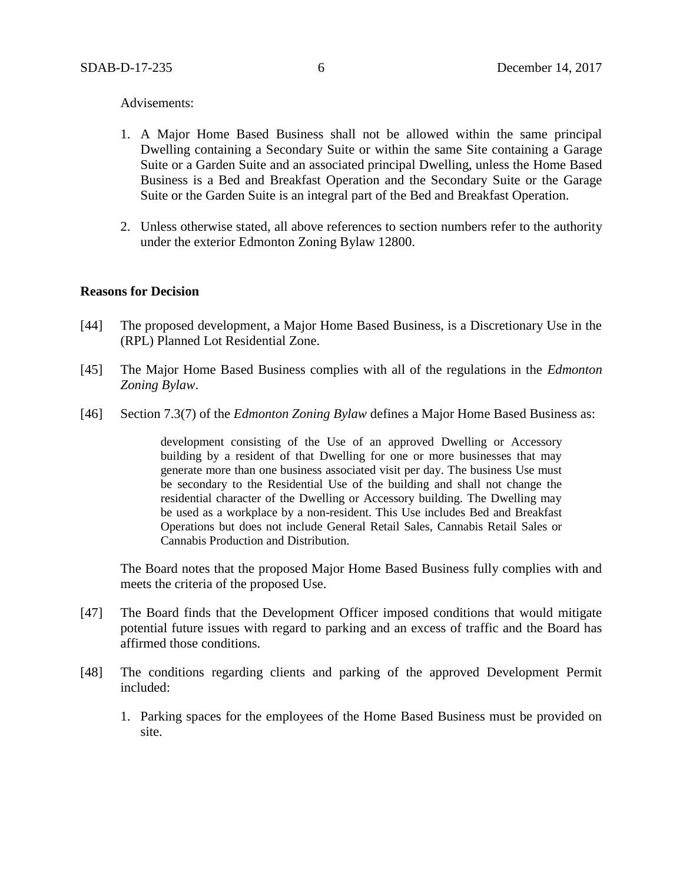#### Advisements:

- 1. A Major Home Based Business shall not be allowed within the same principal Dwelling containing a Secondary Suite or within the same Site containing a Garage Suite or a Garden Suite and an associated principal Dwelling, unless the Home Based Business is a Bed and Breakfast Operation and the Secondary Suite or the Garage Suite or the Garden Suite is an integral part of the Bed and Breakfast Operation.
- 2. Unless otherwise stated, all above references to section numbers refer to the authority under the exterior Edmonton Zoning Bylaw 12800.

#### **Reasons for Decision**

- [44] The proposed development, a Major Home Based Business, is a Discretionary Use in the (RPL) Planned Lot Residential Zone.
- [45] The Major Home Based Business complies with all of the regulations in the *Edmonton Zoning Bylaw*.
- [46] Section 7.3(7) of the *Edmonton Zoning Bylaw* defines a Major Home Based Business as:

development consisting of the Use of an approved Dwelling or Accessory building by a resident of that Dwelling for one or more businesses that may generate more than one business associated visit per day. The business Use must be secondary to the Residential Use of the building and shall not change the residential character of the Dwelling or Accessory building. The Dwelling may be used as a workplace by a non-resident. This Use includes Bed and Breakfast Operations but does not include General Retail Sales, Cannabis Retail Sales or Cannabis Production and Distribution.

The Board notes that the proposed Major Home Based Business fully complies with and meets the criteria of the proposed Use.

- [47] The Board finds that the Development Officer imposed conditions that would mitigate potential future issues with regard to parking and an excess of traffic and the Board has affirmed those conditions.
- [48] The conditions regarding clients and parking of the approved Development Permit included:
	- 1. Parking spaces for the employees of the Home Based Business must be provided on site.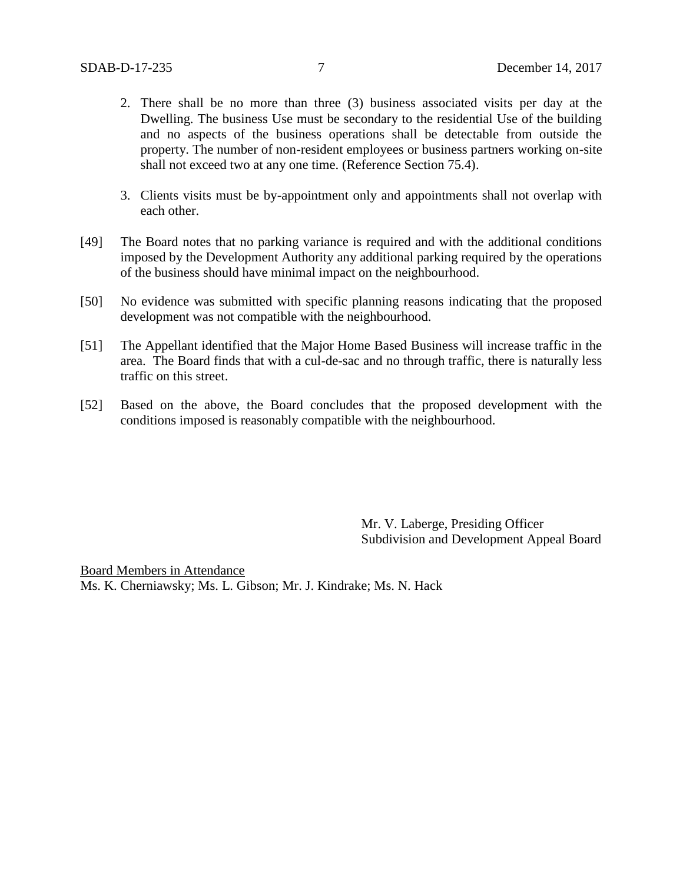- 2. There shall be no more than three (3) business associated visits per day at the Dwelling. The business Use must be secondary to the residential Use of the building and no aspects of the business operations shall be detectable from outside the property. The number of non-resident employees or business partners working on-site shall not exceed two at any one time. (Reference Section 75.4).
- 3. Clients visits must be by-appointment only and appointments shall not overlap with each other.
- [49] The Board notes that no parking variance is required and with the additional conditions imposed by the Development Authority any additional parking required by the operations of the business should have minimal impact on the neighbourhood.
- [50] No evidence was submitted with specific planning reasons indicating that the proposed development was not compatible with the neighbourhood.
- [51] The Appellant identified that the Major Home Based Business will increase traffic in the area. The Board finds that with a cul-de-sac and no through traffic, there is naturally less traffic on this street.
- [52] Based on the above, the Board concludes that the proposed development with the conditions imposed is reasonably compatible with the neighbourhood.

Mr. V. Laberge, Presiding Officer Subdivision and Development Appeal Board

Board Members in Attendance Ms. K. Cherniawsky; Ms. L. Gibson; Mr. J. Kindrake; Ms. N. Hack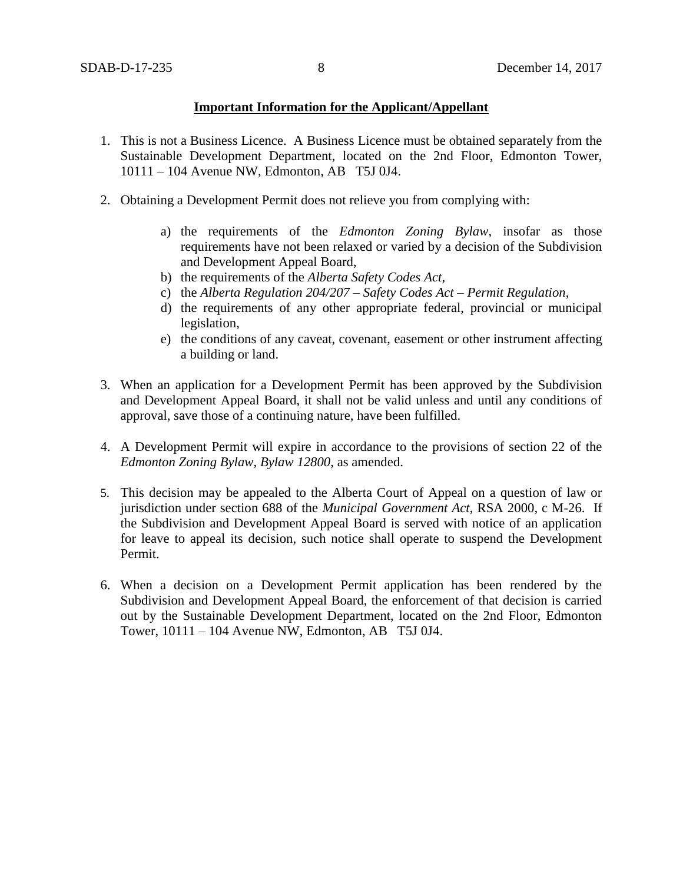### **Important Information for the Applicant/Appellant**

- 1. This is not a Business Licence. A Business Licence must be obtained separately from the Sustainable Development Department, located on the 2nd Floor, Edmonton Tower, 10111 – 104 Avenue NW, Edmonton, AB T5J 0J4.
- 2. Obtaining a Development Permit does not relieve you from complying with:
	- a) the requirements of the *Edmonton Zoning Bylaw*, insofar as those requirements have not been relaxed or varied by a decision of the Subdivision and Development Appeal Board,
	- b) the requirements of the *Alberta Safety Codes Act*,
	- c) the *Alberta Regulation 204/207 – Safety Codes Act – Permit Regulation*,
	- d) the requirements of any other appropriate federal, provincial or municipal legislation,
	- e) the conditions of any caveat, covenant, easement or other instrument affecting a building or land.
- 3. When an application for a Development Permit has been approved by the Subdivision and Development Appeal Board, it shall not be valid unless and until any conditions of approval, save those of a continuing nature, have been fulfilled.
- 4. A Development Permit will expire in accordance to the provisions of section 22 of the *Edmonton Zoning Bylaw, Bylaw 12800*, as amended.
- 5. This decision may be appealed to the Alberta Court of Appeal on a question of law or jurisdiction under section 688 of the *Municipal Government Act*, RSA 2000, c M-26. If the Subdivision and Development Appeal Board is served with notice of an application for leave to appeal its decision, such notice shall operate to suspend the Development Permit.
- 6. When a decision on a Development Permit application has been rendered by the Subdivision and Development Appeal Board, the enforcement of that decision is carried out by the Sustainable Development Department, located on the 2nd Floor, Edmonton Tower, 10111 – 104 Avenue NW, Edmonton, AB T5J 0J4.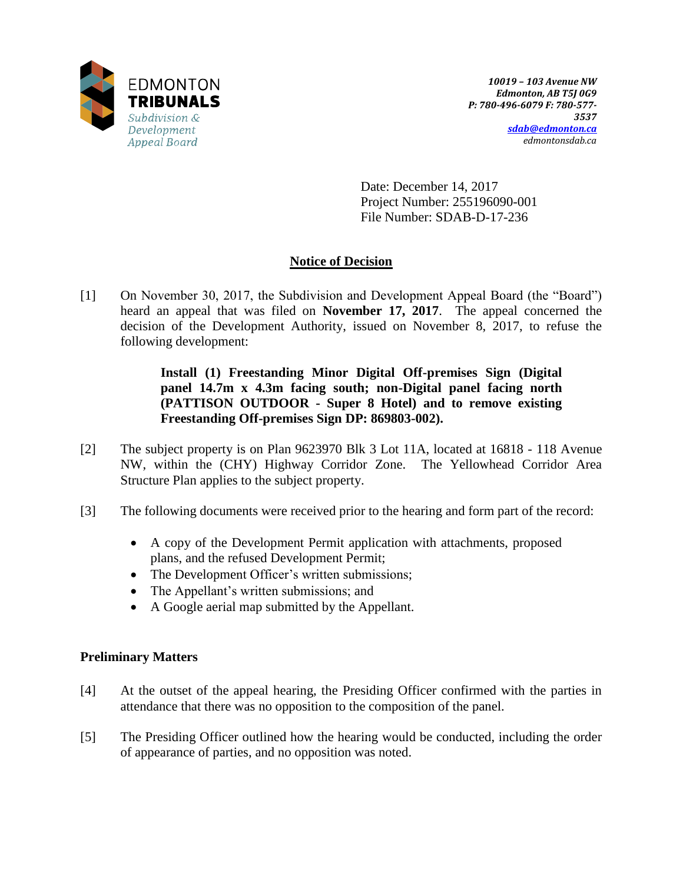

Date: December 14, 2017 Project Number: 255196090-001 File Number: SDAB-D-17-236

# **Notice of Decision**

[1] On November 30, 2017, the Subdivision and Development Appeal Board (the "Board") heard an appeal that was filed on **November 17, 2017**. The appeal concerned the decision of the Development Authority, issued on November 8, 2017, to refuse the following development:

> **Install (1) Freestanding Minor Digital Off-premises Sign (Digital panel 14.7m x 4.3m facing south; non-Digital panel facing north (PATTISON OUTDOOR - Super 8 Hotel) and to remove existing Freestanding Off-premises Sign DP: 869803-002).**

- [2] The subject property is on Plan 9623970 Blk 3 Lot 11A, located at 16818 118 Avenue NW, within the (CHY) Highway Corridor Zone. The Yellowhead Corridor Area Structure Plan applies to the subject property.
- [3] The following documents were received prior to the hearing and form part of the record:
	- A copy of the Development Permit application with attachments, proposed plans, and the refused Development Permit;
	- The Development Officer's written submissions;
	- The Appellant's written submissions; and
	- A Google aerial map submitted by the Appellant.

### **Preliminary Matters**

- [4] At the outset of the appeal hearing, the Presiding Officer confirmed with the parties in attendance that there was no opposition to the composition of the panel.
- [5] The Presiding Officer outlined how the hearing would be conducted, including the order of appearance of parties, and no opposition was noted.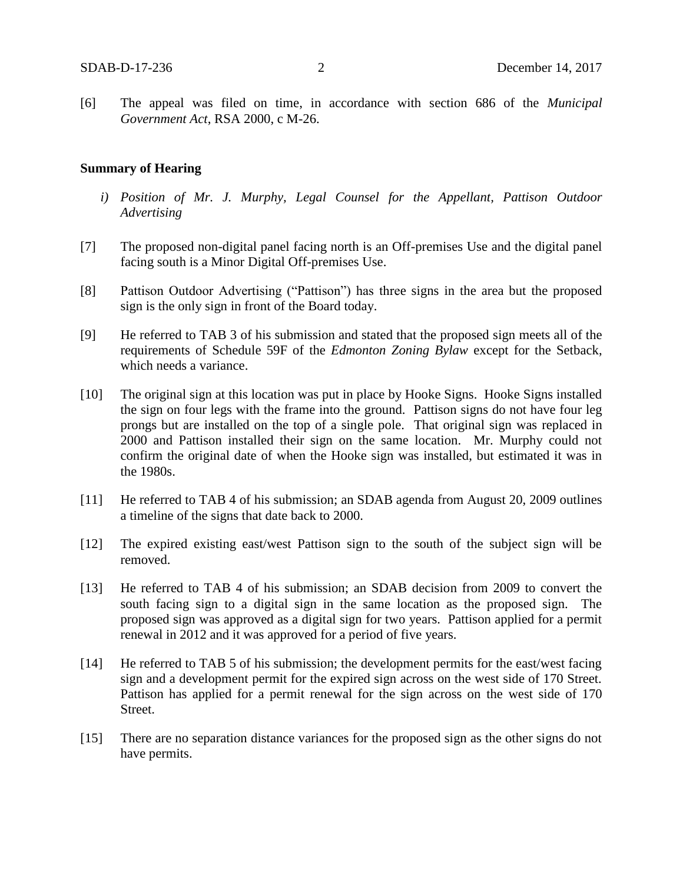[6] The appeal was filed on time, in accordance with section 686 of the *Municipal Government Act*, RSA 2000, c M-26.

#### **Summary of Hearing**

- *i) Position of Mr. J. Murphy, Legal Counsel for the Appellant, Pattison Outdoor Advertising*
- [7] The proposed non-digital panel facing north is an Off-premises Use and the digital panel facing south is a Minor Digital Off-premises Use.
- [8] Pattison Outdoor Advertising ("Pattison") has three signs in the area but the proposed sign is the only sign in front of the Board today.
- [9] He referred to TAB 3 of his submission and stated that the proposed sign meets all of the requirements of Schedule 59F of the *Edmonton Zoning Bylaw* except for the Setback, which needs a variance.
- [10] The original sign at this location was put in place by Hooke Signs. Hooke Signs installed the sign on four legs with the frame into the ground. Pattison signs do not have four leg prongs but are installed on the top of a single pole. That original sign was replaced in 2000 and Pattison installed their sign on the same location. Mr. Murphy could not confirm the original date of when the Hooke sign was installed, but estimated it was in the 1980s.
- [11] He referred to TAB 4 of his submission; an SDAB agenda from August 20, 2009 outlines a timeline of the signs that date back to 2000.
- [12] The expired existing east/west Pattison sign to the south of the subject sign will be removed.
- [13] He referred to TAB 4 of his submission; an SDAB decision from 2009 to convert the south facing sign to a digital sign in the same location as the proposed sign. The proposed sign was approved as a digital sign for two years. Pattison applied for a permit renewal in 2012 and it was approved for a period of five years.
- [14] He referred to TAB 5 of his submission; the development permits for the east/west facing sign and a development permit for the expired sign across on the west side of 170 Street. Pattison has applied for a permit renewal for the sign across on the west side of 170 Street.
- [15] There are no separation distance variances for the proposed sign as the other signs do not have permits.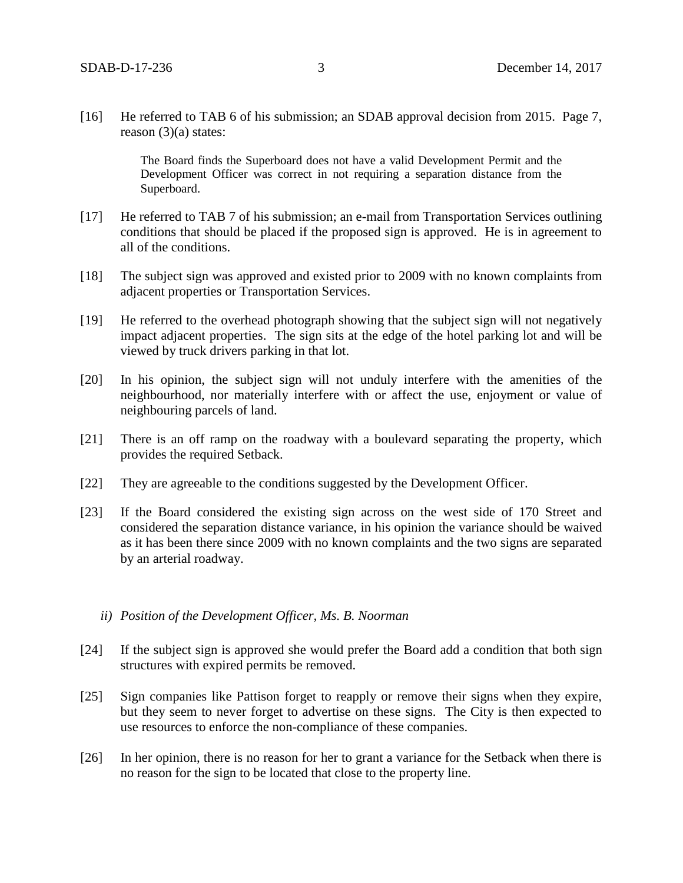[16] He referred to TAB 6 of his submission; an SDAB approval decision from 2015. Page 7, reason  $(3)(a)$  states:

> The Board finds the Superboard does not have a valid Development Permit and the Development Officer was correct in not requiring a separation distance from the Superboard.

- [17] He referred to TAB 7 of his submission; an e-mail from Transportation Services outlining conditions that should be placed if the proposed sign is approved. He is in agreement to all of the conditions.
- [18] The subject sign was approved and existed prior to 2009 with no known complaints from adjacent properties or Transportation Services.
- [19] He referred to the overhead photograph showing that the subject sign will not negatively impact adjacent properties. The sign sits at the edge of the hotel parking lot and will be viewed by truck drivers parking in that lot.
- [20] In his opinion, the subject sign will not unduly interfere with the amenities of the neighbourhood, nor materially interfere with or affect the use, enjoyment or value of neighbouring parcels of land.
- [21] There is an off ramp on the roadway with a boulevard separating the property, which provides the required Setback.
- [22] They are agreeable to the conditions suggested by the Development Officer.
- [23] If the Board considered the existing sign across on the west side of 170 Street and considered the separation distance variance, in his opinion the variance should be waived as it has been there since 2009 with no known complaints and the two signs are separated by an arterial roadway.

#### *ii) Position of the Development Officer, Ms. B. Noorman*

- [24] If the subject sign is approved she would prefer the Board add a condition that both sign structures with expired permits be removed.
- [25] Sign companies like Pattison forget to reapply or remove their signs when they expire, but they seem to never forget to advertise on these signs. The City is then expected to use resources to enforce the non-compliance of these companies.
- [26] In her opinion, there is no reason for her to grant a variance for the Setback when there is no reason for the sign to be located that close to the property line.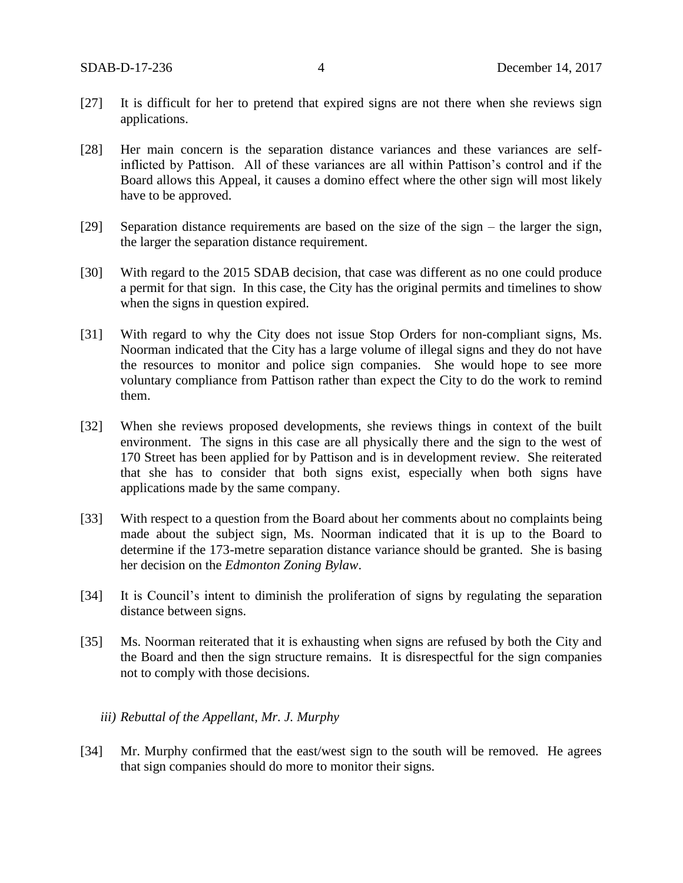- [27] It is difficult for her to pretend that expired signs are not there when she reviews sign applications.
- [28] Her main concern is the separation distance variances and these variances are selfinflicted by Pattison. All of these variances are all within Pattison's control and if the Board allows this Appeal, it causes a domino effect where the other sign will most likely have to be approved.
- [29] Separation distance requirements are based on the size of the sign the larger the sign, the larger the separation distance requirement.
- [30] With regard to the 2015 SDAB decision, that case was different as no one could produce a permit for that sign. In this case, the City has the original permits and timelines to show when the signs in question expired.
- [31] With regard to why the City does not issue Stop Orders for non-compliant signs, Ms. Noorman indicated that the City has a large volume of illegal signs and they do not have the resources to monitor and police sign companies. She would hope to see more voluntary compliance from Pattison rather than expect the City to do the work to remind them.
- [32] When she reviews proposed developments, she reviews things in context of the built environment. The signs in this case are all physically there and the sign to the west of 170 Street has been applied for by Pattison and is in development review. She reiterated that she has to consider that both signs exist, especially when both signs have applications made by the same company.
- [33] With respect to a question from the Board about her comments about no complaints being made about the subject sign, Ms. Noorman indicated that it is up to the Board to determine if the 173-metre separation distance variance should be granted. She is basing her decision on the *Edmonton Zoning Bylaw*.
- [34] It is Council's intent to diminish the proliferation of signs by regulating the separation distance between signs.
- [35] Ms. Noorman reiterated that it is exhausting when signs are refused by both the City and the Board and then the sign structure remains. It is disrespectful for the sign companies not to comply with those decisions.

### *iii) Rebuttal of the Appellant, Mr. J. Murphy*

[34] Mr. Murphy confirmed that the east/west sign to the south will be removed. He agrees that sign companies should do more to monitor their signs.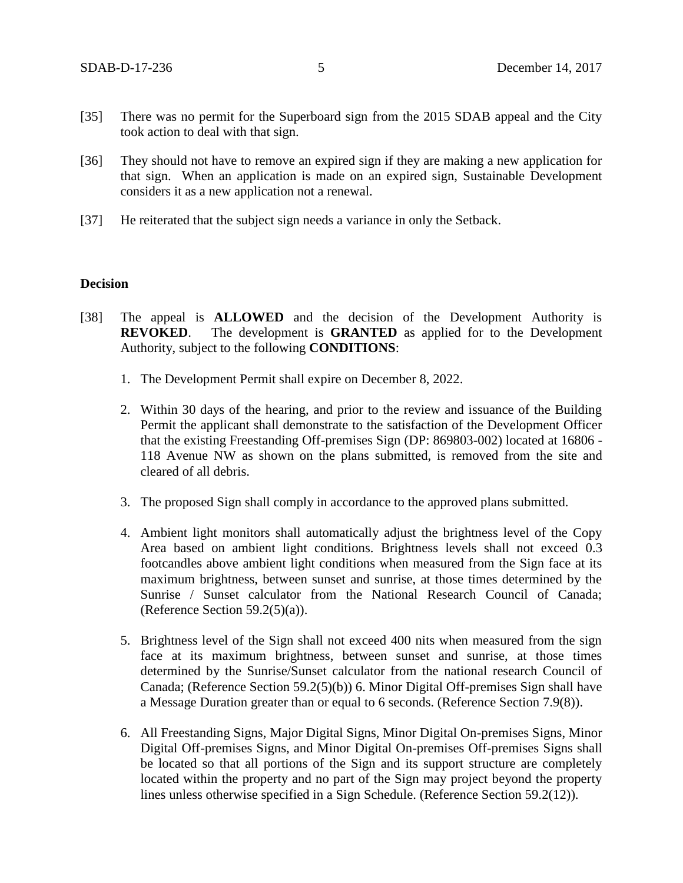- [35] There was no permit for the Superboard sign from the 2015 SDAB appeal and the City took action to deal with that sign.
- [36] They should not have to remove an expired sign if they are making a new application for that sign. When an application is made on an expired sign, Sustainable Development considers it as a new application not a renewal.
- [37] He reiterated that the subject sign needs a variance in only the Setback.

### **Decision**

- [38] The appeal is **ALLOWED** and the decision of the Development Authority is **REVOKED**. The development is **GRANTED** as applied for to the Development Authority, subject to the following **CONDITIONS**:
	- 1. The Development Permit shall expire on December 8, 2022.
	- 2. Within 30 days of the hearing, and prior to the review and issuance of the Building Permit the applicant shall demonstrate to the satisfaction of the Development Officer that the existing Freestanding Off-premises Sign (DP: 869803-002) located at 16806 - 118 Avenue NW as shown on the plans submitted, is removed from the site and cleared of all debris.
	- 3. The proposed Sign shall comply in accordance to the approved plans submitted.
	- 4. Ambient light monitors shall automatically adjust the brightness level of the Copy Area based on ambient light conditions. Brightness levels shall not exceed 0.3 footcandles above ambient light conditions when measured from the Sign face at its maximum brightness, between sunset and sunrise, at those times determined by the Sunrise / Sunset calculator from the National Research Council of Canada; (Reference Section  $59.2(5)(a)$ ).
	- 5. Brightness level of the Sign shall not exceed 400 nits when measured from the sign face at its maximum brightness, between sunset and sunrise, at those times determined by the Sunrise/Sunset calculator from the national research Council of Canada; (Reference Section 59.2(5)(b)) 6. Minor Digital Off-premises Sign shall have a Message Duration greater than or equal to 6 seconds. (Reference Section 7.9(8)).
	- 6. All Freestanding Signs, Major Digital Signs, Minor Digital On-premises Signs, Minor Digital Off-premises Signs, and Minor Digital On-premises Off-premises Signs shall be located so that all portions of the Sign and its support structure are completely located within the property and no part of the Sign may project beyond the property lines unless otherwise specified in a Sign Schedule. (Reference Section 59.2(12)).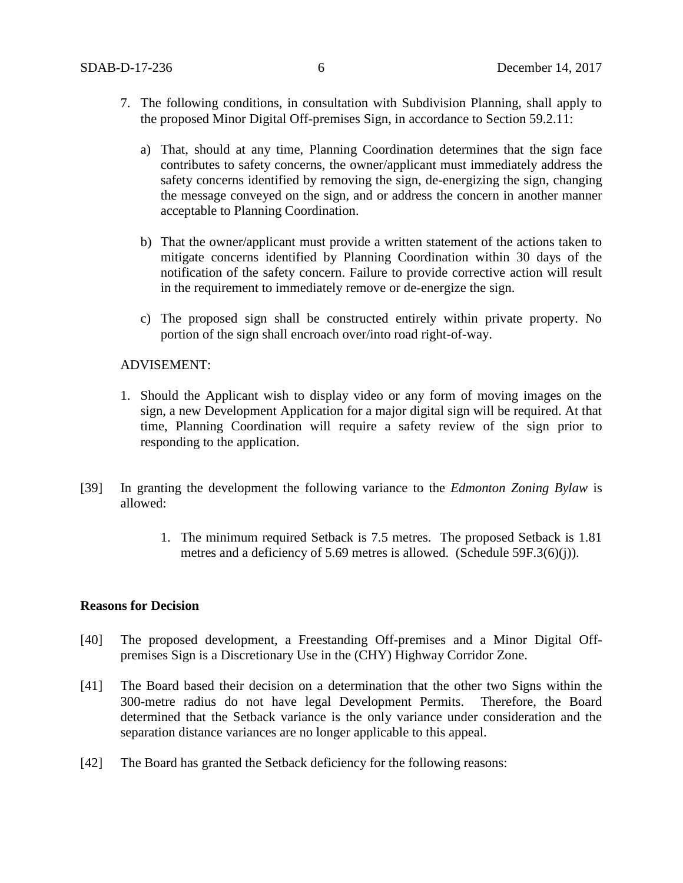- 7. The following conditions, in consultation with Subdivision Planning, shall apply to the proposed Minor Digital Off-premises Sign, in accordance to Section 59.2.11:
	- a) That, should at any time, Planning Coordination determines that the sign face contributes to safety concerns, the owner/applicant must immediately address the safety concerns identified by removing the sign, de-energizing the sign, changing the message conveyed on the sign, and or address the concern in another manner acceptable to Planning Coordination.
	- b) That the owner/applicant must provide a written statement of the actions taken to mitigate concerns identified by Planning Coordination within 30 days of the notification of the safety concern. Failure to provide corrective action will result in the requirement to immediately remove or de-energize the sign.
	- c) The proposed sign shall be constructed entirely within private property. No portion of the sign shall encroach over/into road right-of-way.

### ADVISEMENT:

- 1. Should the Applicant wish to display video or any form of moving images on the sign, a new Development Application for a major digital sign will be required. At that time, Planning Coordination will require a safety review of the sign prior to responding to the application.
- [39] In granting the development the following variance to the *Edmonton Zoning Bylaw* is allowed:
	- 1. The minimum required Setback is 7.5 metres. The proposed Setback is 1.81 metres and a deficiency of 5.69 metres is allowed. (Schedule 59F.3(6)(j)).

### **Reasons for Decision**

- [40] The proposed development, a Freestanding Off-premises and a Minor Digital Offpremises Sign is a Discretionary Use in the (CHY) Highway Corridor Zone.
- [41] The Board based their decision on a determination that the other two Signs within the 300-metre radius do not have legal Development Permits. Therefore, the Board determined that the Setback variance is the only variance under consideration and the separation distance variances are no longer applicable to this appeal.
- [42] The Board has granted the Setback deficiency for the following reasons: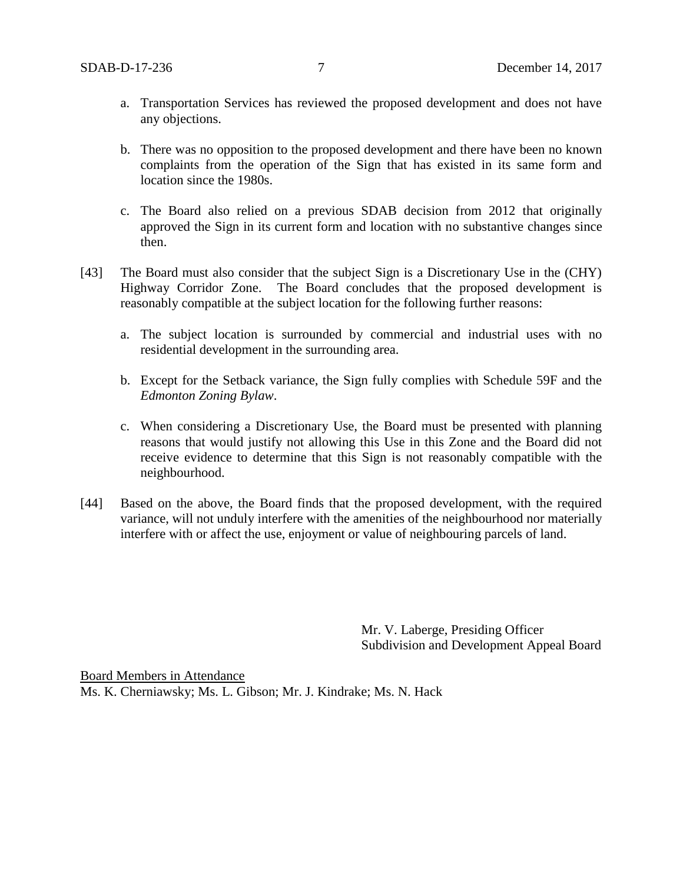- a. Transportation Services has reviewed the proposed development and does not have any objections.
- b. There was no opposition to the proposed development and there have been no known complaints from the operation of the Sign that has existed in its same form and location since the 1980s.
- c. The Board also relied on a previous SDAB decision from 2012 that originally approved the Sign in its current form and location with no substantive changes since then.
- [43] The Board must also consider that the subject Sign is a Discretionary Use in the (CHY) Highway Corridor Zone. The Board concludes that the proposed development is reasonably compatible at the subject location for the following further reasons:
	- a. The subject location is surrounded by commercial and industrial uses with no residential development in the surrounding area.
	- b. Except for the Setback variance, the Sign fully complies with Schedule 59F and the *Edmonton Zoning Bylaw*.
	- c. When considering a Discretionary Use, the Board must be presented with planning reasons that would justify not allowing this Use in this Zone and the Board did not receive evidence to determine that this Sign is not reasonably compatible with the neighbourhood.
- [44] Based on the above, the Board finds that the proposed development, with the required variance, will not unduly interfere with the amenities of the neighbourhood nor materially interfere with or affect the use, enjoyment or value of neighbouring parcels of land.

Mr. V. Laberge, Presiding Officer Subdivision and Development Appeal Board

Board Members in Attendance Ms. K. Cherniawsky; Ms. L. Gibson; Mr. J. Kindrake; Ms. N. Hack